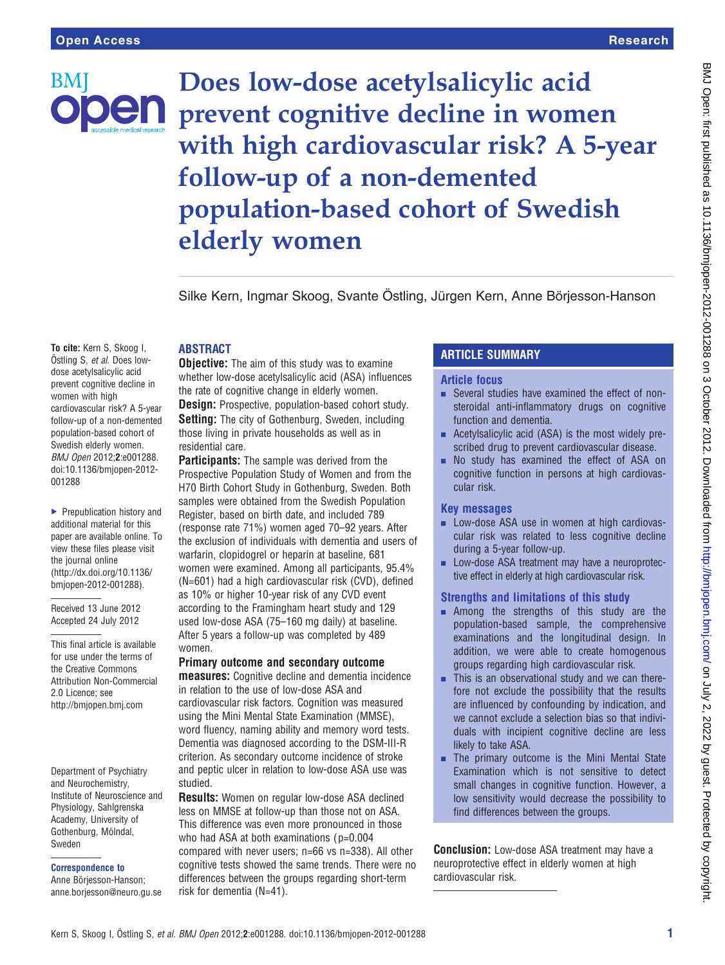

Does low-dose acetylsalicylic acid **Den** prevent cognitive decline in women with high cardiovascular risk? A 5-year follow-up of a non-demented population-based cohort of Swedish elderly women

Silke Kern, Ingmar Skoog, Svante Östling, Jürgen Kern, Anne Börjesson-Hanson

# ABSTRACT

To cite: Kern S, Skoog I, Östling S, et al. Does lowdose acetylsalicylic acid prevent cognitive decline in women with high cardiovascular risk? A 5-year follow-up of a non-demented population-based cohort of Swedish elderly women. BMJ Open 2012;2:e001288. doi:10.1136/bmjopen-2012- 001288

▶ Prepublication history and additional material for this paper are available online. To view these files please visit the journal online [\(http://dx.doi.org/10.1136/](http://dx.doi.org/10.1136/bmjopen-2012-001288) [bmjopen-2012-001288](http://dx.doi.org/10.1136/bmjopen-2012-001288)).

Received 13 June 2012 Accepted 24 July 2012

This final article is available for use under the terms of the Creative Commons Attribution Non-Commercial 2.0 Licence; see <http://bmjopen.bmj.com>

#### and Neurochemistry, Institute of Neuroscience and

Department of Psychiatry

Physiology, Sahlgrenska Academy, University of Gothenburg, Mölndal, Sweden

#### Correspondence to

Anne Börjesson-Hanson; anne.borjesson@neuro.gu.se **Objective:** The aim of this study was to examine whether low-dose acetylsalicylic acid (ASA) influences the rate of cognitive change in elderly women. **Design:** Prospective, population-based cohort study. **Setting:** The city of Gothenburg, Sweden, including those living in private households as well as in residential care.

**Participants:** The sample was derived from the Prospective Population Study of Women and from the H70 Birth Cohort Study in Gothenburg, Sweden. Both samples were obtained from the Swedish Population Register, based on birth date, and included 789 (response rate 71%) women aged 70–92 years. After the exclusion of individuals with dementia and users of warfarin, clopidogrel or heparin at baseline, 681 women were examined. Among all participants, 95.4% (N=601) had a high cardiovascular risk (CVD), defined as 10% or higher 10-year risk of any CVD event according to the Framingham heart study and 129 used low-dose ASA (75–160 mg daily) at baseline. After 5 years a follow-up was completed by 489 women.

### Primary outcome and secondary outcome

measures: Cognitive decline and dementia incidence in relation to the use of low-dose ASA and cardiovascular risk factors. Cognition was measured using the Mini Mental State Examination (MMSE), word fluency, naming ability and memory word tests. Dementia was diagnosed according to the DSM-III-R criterion. As secondary outcome incidence of stroke and peptic ulcer in relation to low-dose ASA use was studied.

**Results:** Women on regular low-dose ASA declined less on MMSE at follow-up than those not on ASA. This difference was even more pronounced in those who had ASA at both examinations (p=0.004) compared with never users; n=66 vs n=338). All other cognitive tests showed the same trends. There were no differences between the groups regarding short-term risk for dementia (N=41).

# ARTICLE SUMMARY

### Article focus

- Several studies have examined the effect of nonsteroidal anti-inflammatory drugs on cognitive function and dementia.
- $\blacksquare$  Acetylsalicylic acid (ASA) is the most widely prescribed drug to prevent cardiovascular disease.
- $\blacksquare$  No study has examined the effect of ASA on cognitive function in persons at high cardiovascular risk.

# Key messages

- **EXECUTE:** Low-dose ASA use in women at high cardiovascular risk was related to less cognitive decline during a 5-year follow-up.
- **EXECUTE:** Low-dose ASA treatment may have a neuroprotective effect in elderly at high cardiovascular risk.

# Strengths and limitations of this study

- $\blacksquare$  Among the strengths of this study are the population-based sample, the comprehensive examinations and the longitudinal design. In addition, we were able to create homogenous groups regarding high cardiovascular risk.
- This is an observational study and we can therefore not exclude the possibility that the results are influenced by confounding by indication, and we cannot exclude a selection bias so that individuals with incipient cognitive decline are less likely to take ASA.
- The primary outcome is the Mini Mental State Examination which is not sensitive to detect small changes in cognitive function. However, a low sensitivity would decrease the possibility to find differences between the groups.

**Conclusion:** Low-dose ASA treatment may have a neuroprotective effect in elderly women at high cardiovascular risk.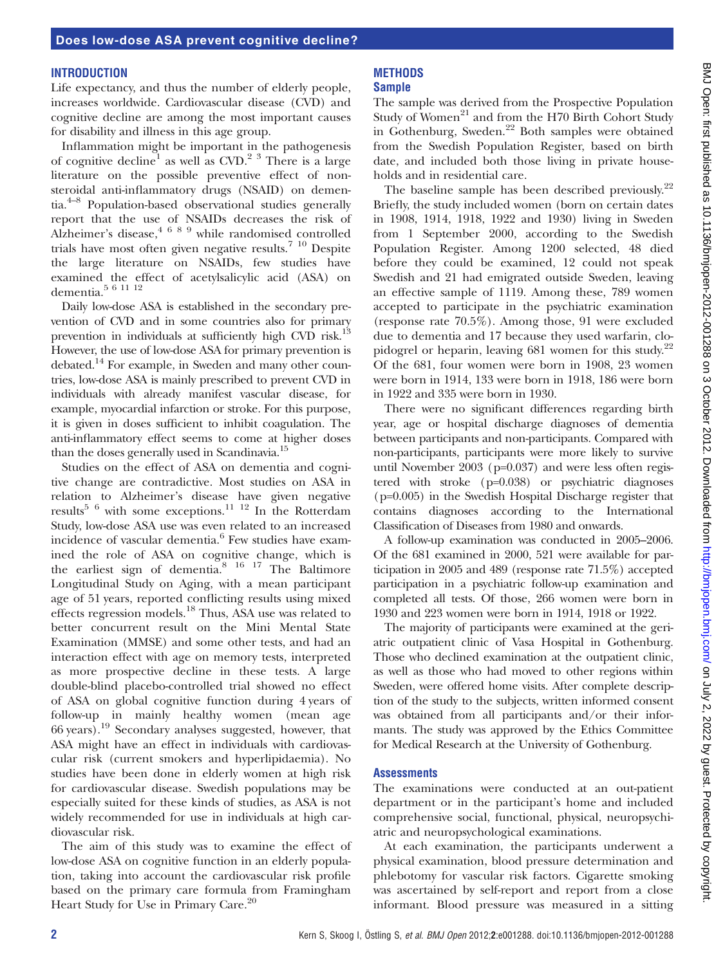#### **INTRODUCTION**

Life expectancy, and thus the number of elderly people, increases worldwide. Cardiovascular disease (CVD) and cognitive decline are among the most important causes for disability and illness in this age group.

Inflammation might be important in the pathogenesis of cognitive decline<sup>1</sup> as well as CVD.<sup>2</sup> <sup>3</sup> There is a large literature on the possible preventive effect of nonsteroidal anti-inflammatory drugs (NSAID) on dementia.4–<sup>8</sup> Population-based observational studies generally report that the use of NSAIDs decreases the risk of Alzheimer's disease,  $4689$  while randomised controlled trials have most often given negative results.<sup>7 10</sup> Despite the large literature on NSAIDs, few studies have examined the effect of acetylsalicylic acid (ASA) on dementia.5 6 11 12

Daily low-dose ASA is established in the secondary prevention of CVD and in some countries also for primary prevention in individuals at sufficiently high CVD risk.<sup>13</sup> However, the use of low-dose ASA for primary prevention is debated.14 For example, in Sweden and many other countries, low-dose ASA is mainly prescribed to prevent CVD in individuals with already manifest vascular disease, for example, myocardial infarction or stroke. For this purpose, it is given in doses sufficient to inhibit coagulation. The anti-inflammatory effect seems to come at higher doses than the doses generally used in Scandinavia.15

Studies on the effect of ASA on dementia and cognitive change are contradictive. Most studies on ASA in relation to Alzheimer's disease have given negative results<sup>5 6</sup> with some exceptions.<sup>11 12</sup> In the Rotterdam Study, low-dose ASA use was even related to an increased incidence of vascular dementia.<sup>6</sup> Few studies have examined the role of ASA on cognitive change, which is the earliest sign of dementia.<sup>8</sup>  $^{16}$  <sup>17</sup> The Baltimore Longitudinal Study on Aging, with a mean participant age of 51 years, reported conflicting results using mixed effects regression models.<sup>18</sup> Thus, ASA use was related to better concurrent result on the Mini Mental State Examination (MMSE) and some other tests, and had an interaction effect with age on memory tests, interpreted as more prospective decline in these tests. A large double-blind placebo-controlled trial showed no effect of ASA on global cognitive function during 4 years of follow-up in mainly healthy women (mean age 66 years).<sup>19</sup> Secondary analyses suggested, however, that ASA might have an effect in individuals with cardiovascular risk (current smokers and hyperlipidaemia). No studies have been done in elderly women at high risk for cardiovascular disease. Swedish populations may be especially suited for these kinds of studies, as ASA is not widely recommended for use in individuals at high cardiovascular risk.

The aim of this study was to examine the effect of low-dose ASA on cognitive function in an elderly population, taking into account the cardiovascular risk profile based on the primary care formula from Framingham Heart Study for Use in Primary Care.20

### METHODS Sample

The sample was derived from the Prospective Population Study of Women<sup>21</sup> and from the H70 Birth Cohort Study in Gothenburg, Sweden.<sup>22</sup> Both samples were obtained from the Swedish Population Register, based on birth date, and included both those living in private households and in residential care.

The baseline sample has been described previously.<sup>22</sup> Briefly, the study included women (born on certain dates in 1908, 1914, 1918, 1922 and 1930) living in Sweden from 1 September 2000, according to the Swedish Population Register. Among 1200 selected, 48 died before they could be examined, 12 could not speak Swedish and 21 had emigrated outside Sweden, leaving an effective sample of 1119. Among these, 789 women accepted to participate in the psychiatric examination (response rate 70.5%). Among those, 91 were excluded due to dementia and 17 because they used warfarin, clopidogrel or heparin, leaving 681 women for this study.<sup>22</sup> Of the 681, four women were born in 1908, 23 women were born in 1914, 133 were born in 1918, 186 were born in 1922 and 335 were born in 1930.

There were no significant differences regarding birth year, age or hospital discharge diagnoses of dementia between participants and non-participants. Compared with non-participants, participants were more likely to survive until November 2003 (p=0.037) and were less often registered with stroke (p=0.038) or psychiatric diagnoses (p=0.005) in the Swedish Hospital Discharge register that contains diagnoses according to the International Classification of Diseases from 1980 and onwards.

A follow-up examination was conducted in 2005–2006. Of the 681 examined in 2000, 521 were available for participation in 2005 and 489 (response rate 71.5%) accepted participation in a psychiatric follow-up examination and completed all tests. Of those, 266 women were born in 1930 and 223 women were born in 1914, 1918 or 1922.

The majority of participants were examined at the geriatric outpatient clinic of Vasa Hospital in Gothenburg. Those who declined examination at the outpatient clinic, as well as those who had moved to other regions within Sweden, were offered home visits. After complete description of the study to the subjects, written informed consent was obtained from all participants and/or their informants. The study was approved by the Ethics Committee for Medical Research at the University of Gothenburg.

### **Assessments**

The examinations were conducted at an out-patient department or in the participant's home and included comprehensive social, functional, physical, neuropsychiatric and neuropsychological examinations.

At each examination, the participants underwent a physical examination, blood pressure determination and phlebotomy for vascular risk factors. Cigarette smoking was ascertained by self-report and report from a close informant. Blood pressure was measured in a sitting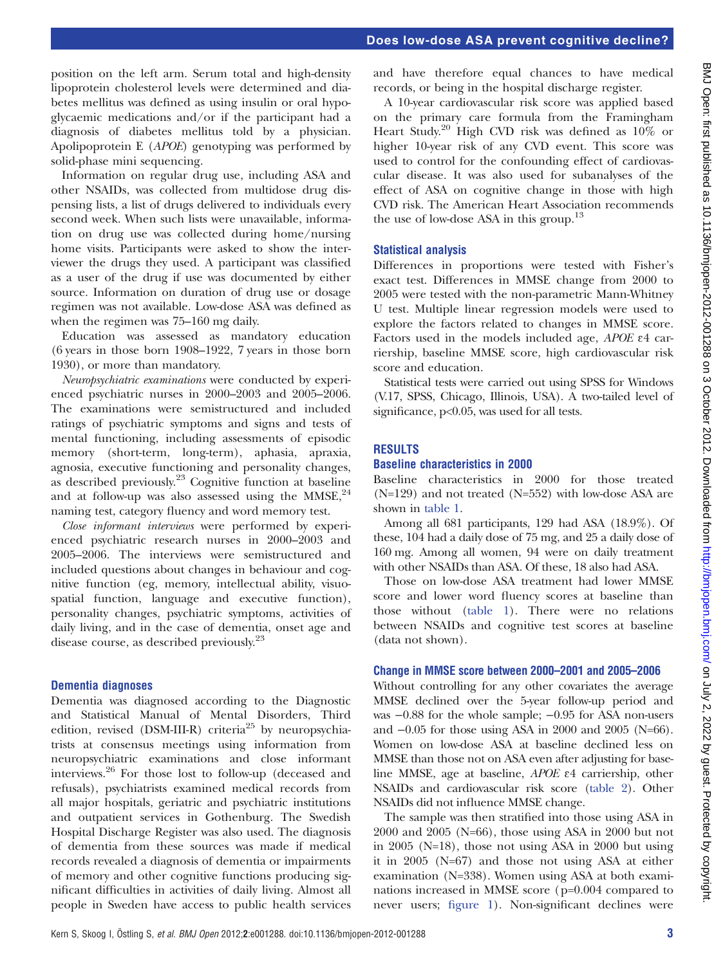position on the left arm. Serum total and high-density lipoprotein cholesterol levels were determined and diabetes mellitus was defined as using insulin or oral hypoglycaemic medications and/or if the participant had a diagnosis of diabetes mellitus told by a physician. Apolipoprotein E (APOE) genotyping was performed by solid-phase mini sequencing.

Information on regular drug use, including ASA and other NSAIDs, was collected from multidose drug dispensing lists, a list of drugs delivered to individuals every second week. When such lists were unavailable, information on drug use was collected during home/nursing home visits. Participants were asked to show the interviewer the drugs they used. A participant was classified as a user of the drug if use was documented by either source. Information on duration of drug use or dosage regimen was not available. Low-dose ASA was defined as when the regimen was 75–160 mg daily.

Education was assessed as mandatory education (6 years in those born 1908–1922, 7 years in those born 1930), or more than mandatory.

Neuropsychiatric examinations were conducted by experienced psychiatric nurses in 2000–2003 and 2005–2006. The examinations were semistructured and included ratings of psychiatric symptoms and signs and tests of mental functioning, including assessments of episodic memory (short-term, long-term), aphasia, apraxia, agnosia, executive functioning and personality changes, as described previously.23 Cognitive function at baseline and at follow-up was also assessed using the MMSE,  $24$ naming test, category fluency and word memory test.

Close informant interviews were performed by experienced psychiatric research nurses in 2000–2003 and 2005–2006. The interviews were semistructured and included questions about changes in behaviour and cognitive function (eg, memory, intellectual ability, visuospatial function, language and executive function), personality changes, psychiatric symptoms, activities of daily living, and in the case of dementia, onset age and disease course, as described previously.23

# Dementia diagnoses

Dementia was diagnosed according to the Diagnostic and Statistical Manual of Mental Disorders, Third edition, revised (DSM-III-R) criteria<sup>25</sup> by neuropsychiatrists at consensus meetings using information from neuropsychiatric examinations and close informant interviews.<sup>26</sup> For those lost to follow-up (deceased and refusals), psychiatrists examined medical records from all major hospitals, geriatric and psychiatric institutions and outpatient services in Gothenburg. The Swedish Hospital Discharge Register was also used. The diagnosis of dementia from these sources was made if medical records revealed a diagnosis of dementia or impairments of memory and other cognitive functions producing significant difficulties in activities of daily living. Almost all people in Sweden have access to public health services

and have therefore equal chances to have medical records, or being in the hospital discharge register.

A 10-year cardiovascular risk score was applied based on the primary care formula from the Framingham Heart Study.<sup>20</sup> High CVD risk was defined as  $10\%$  or higher 10-year risk of any CVD event. This score was used to control for the confounding effect of cardiovascular disease. It was also used for subanalyses of the effect of ASA on cognitive change in those with high CVD risk. The American Heart Association recommends the use of low-dose ASA in this group.<sup>13</sup>

# Statistical analysis

Differences in proportions were tested with Fisher's exact test. Differences in MMSE change from 2000 to 2005 were tested with the non-parametric Mann-Whitney U test. Multiple linear regression models were used to explore the factors related to changes in MMSE score. Factors used in the models included age, APOE ɛ4 carriership, baseline MMSE score, high cardiovascular risk score and education.

Statistical tests were carried out using SPSS for Windows (V.17, SPSS, Chicago, Illinois, USA). A two-tailed level of significance,  $p<0.05$ , was used for all tests.

### RESULTS

### Baseline characteristics in 2000

Baseline characteristics in 2000 for those treated (N=129) and not treated (N=552) with low-dose ASA are shown in table 1.

Among all 681 participants, 129 had ASA (18.9%). Of these, 104 had a daily dose of 75 mg, and 25 a daily dose of 160 mg. Among all women, 94 were on daily treatment with other NSAIDs than ASA. Of these, 18 also had ASA.

Those on low-dose ASA treatment had lower MMSE score and lower word fluency scores at baseline than those without (table 1). There were no relations between NSAIDs and cognitive test scores at baseline (data not shown).

### Change in MMSE score between 2000–2001 and 2005–2006

Without controlling for any other covariates the average MMSE declined over the 5-year follow-up period and was −0.88 for the whole sample; −0.95 for ASA non-users and −0.05 for those using ASA in 2000 and 2005 (N=66). Women on low-dose ASA at baseline declined less on MMSE than those not on ASA even after adjusting for baseline MMSE, age at baseline, APOE ɛ4 carriership, other NSAIDs and cardiovascular risk score (table 2). Other NSAIDs did not influence MMSE change.

The sample was then stratified into those using ASA in 2000 and 2005 (N=66), those using ASA in 2000 but not in 2005 (N=18), those not using ASA in 2000 but using it in 2005 (N=67) and those not using ASA at either examination (N=338). Women using ASA at both examinations increased in MMSE score (p=0.004 compared to never users; figure 1). Non-significant declines were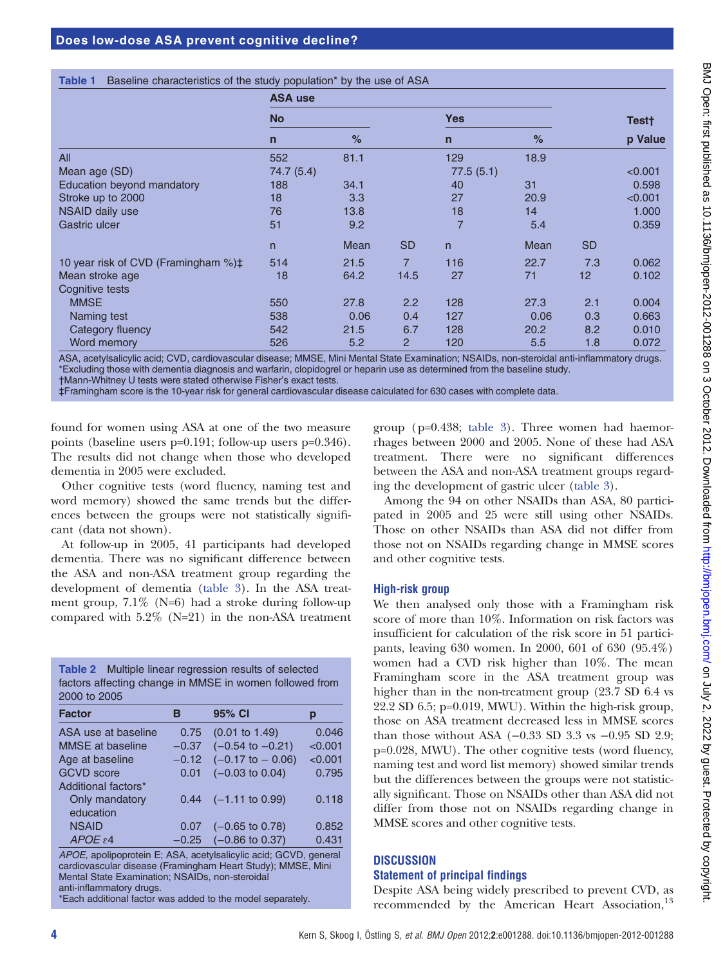| Baseline characteristics of the study population* by the use of ASA<br>Table 1 |  |
|--------------------------------------------------------------------------------|--|
|--------------------------------------------------------------------------------|--|

|                                               | <b>ASA use</b>          |      |           |              |         |           |         |  |
|-----------------------------------------------|-------------------------|------|-----------|--------------|---------|-----------|---------|--|
|                                               | <b>No</b>               |      |           | <b>Yes</b>   |         |           | Test†   |  |
|                                               | $\mathsf{n}$            | %    |           | $\mathsf{n}$ | %       |           | p Value |  |
| All                                           | 552                     | 81.1 |           | 129          | 18.9    |           |         |  |
| Mean age (SD)                                 | 74.7 (5.4)<br>77.5(5.1) |      |           |              | < 0.001 |           |         |  |
| Education beyond mandatory                    | 188                     | 34.1 |           | 40           | 31      |           | 0.598   |  |
| Stroke up to 2000                             | 18                      | 3.3  |           | 27           | 20.9    |           | < 0.001 |  |
| <b>NSAID daily use</b>                        | 76                      | 13.8 |           | 18           | 14      |           | 1.000   |  |
| Gastric ulcer                                 | 51                      | 9.2  |           |              | 5.4     |           | 0.359   |  |
|                                               | $\overline{n}$          | Mean | <b>SD</b> | $\mathsf{n}$ | Mean    | <b>SD</b> |         |  |
| 10 year risk of CVD (Framingham %) $\ddagger$ | 514                     | 21.5 | 7         | 116          | 22.7    | 7.3       | 0.062   |  |
| Mean stroke age                               | 18                      | 64.2 | 14.5      | 27           | 71      | 12        | 0.102   |  |
| Cognitive tests                               |                         |      |           |              |         |           |         |  |
| <b>MMSE</b>                                   | 550                     | 27.8 | 2.2       | 128          | 27.3    | 2.1       | 0.004   |  |
| <b>Naming test</b>                            | 538                     | 0.06 | 0.4       | 127          | 0.06    | 0.3       | 0.663   |  |
| Category fluency                              | 542                     | 21.5 | 6.7       | 128          | 20.2    | 8.2       | 0.010   |  |
| Word memory                                   | 526                     | 5.2  | 2         | 120          | 5.5     | 1.8       | 0.072   |  |

ASA, acetylsalicylic acid; CVD, cardiovascular disease; MMSE, Mini Mental State Examination; NSAIDs, non-steroidal anti-inflammatory drugs. \*Excluding those with dementia diagnosis and warfarin, clopidogrel or heparin use as determined from the baseline study. †Mann-Whitney U tests were stated otherwise Fisher's exact tests.

‡Framingham score is the 10-year risk for general cardiovascular disease calculated for 630 cases with complete data.

found for women using ASA at one of the two measure points (baseline users p=0.191; follow-up users p=0.346). The results did not change when those who developed dementia in 2005 were excluded.

Other cognitive tests (word fluency, naming test and word memory) showed the same trends but the differences between the groups were not statistically significant (data not shown).

At follow-up in 2005, 41 participants had developed dementia. There was no significant difference between the ASA and non-ASA treatment group regarding the development of dementia (table 3). In the ASA treatment group, 7.1% (N=6) had a stroke during follow-up compared with  $5.2\%$  (N=21) in the non-ASA treatment

Table 2 Multiple linear regression results of selected factors affecting change in MMSE in women followed from 2000 to 2005

| <b>Factor</b>           | B       | 95% CI                      |         |
|-------------------------|---------|-----------------------------|---------|
| ASA use at baseline     | 0.75    | $(0.01 \text{ to } 1.49)$   | 0.046   |
| <b>MMSE</b> at baseline | $-0.37$ | $(-0.54 \text{ to } -0.21)$ | < 0.001 |
| Age at baseline         | $-0.12$ | $(-0.17 \text{ to } -0.06)$ | < 0.001 |
| <b>GCVD</b> score       | 0.01    | $(-0.03 \text{ to } 0.04)$  | 0.795   |
| Additional factors*     |         |                             |         |
| Only mandatory          |         | $0.44$ $(-1.11$ to $0.99$ ) | 0.118   |
| education               |         |                             |         |
| <b>NSAID</b>            | 0.07    | $(-0.65 \text{ to } 0.78)$  | 0.852   |
| $APOE$ ε4               | $-0.25$ | $(-0.86 \text{ to } 0.37)$  | 0.431   |

APOE, apolipoprotein E; ASA, acetylsalicylic acid; GCVD, general cardiovascular disease (Framingham Heart Study); MMSE, Mini Mental State Examination; NSAIDs, non-steroidal anti-inflammatory drugs.

\*Each additional factor was added to the model separately.

group (p=0.438; table 3). Three women had haemorrhages between 2000 and 2005. None of these had ASA treatment. There were no significant differences between the ASA and non-ASA treatment groups regarding the development of gastric ulcer (table 3).

Among the 94 on other NSAIDs than ASA, 80 participated in 2005 and 25 were still using other NSAIDs. Those on other NSAIDs than ASA did not differ from those not on NSAIDs regarding change in MMSE scores and other cognitive tests.

#### High-risk group

We then analysed only those with a Framingham risk score of more than 10%. Information on risk factors was insufficient for calculation of the risk score in 51 participants, leaving 630 women. In 2000, 601 of 630 (95.4%) women had a CVD risk higher than 10%. The mean Framingham score in the ASA treatment group was higher than in the non-treatment group (23.7 SD 6.4 vs 22.2 SD 6.5; p=0.019, MWU). Within the high-risk group, those on ASA treatment decreased less in MMSE scores than those without ASA  $(-0.33 \text{ SD } 3.3 \text{ vs } -0.95 \text{ SD } 2.9;$ p=0.028, MWU). The other cognitive tests (word fluency, naming test and word list memory) showed similar trends but the differences between the groups were not statistically significant. Those on NSAIDs other than ASA did not differ from those not on NSAIDs regarding change in MMSE scores and other cognitive tests.

#### **DISCUSSION** Statement of principal findings

Despite ASA being widely prescribed to prevent CVD, as recommended by the American Heart Association,<sup>13</sup>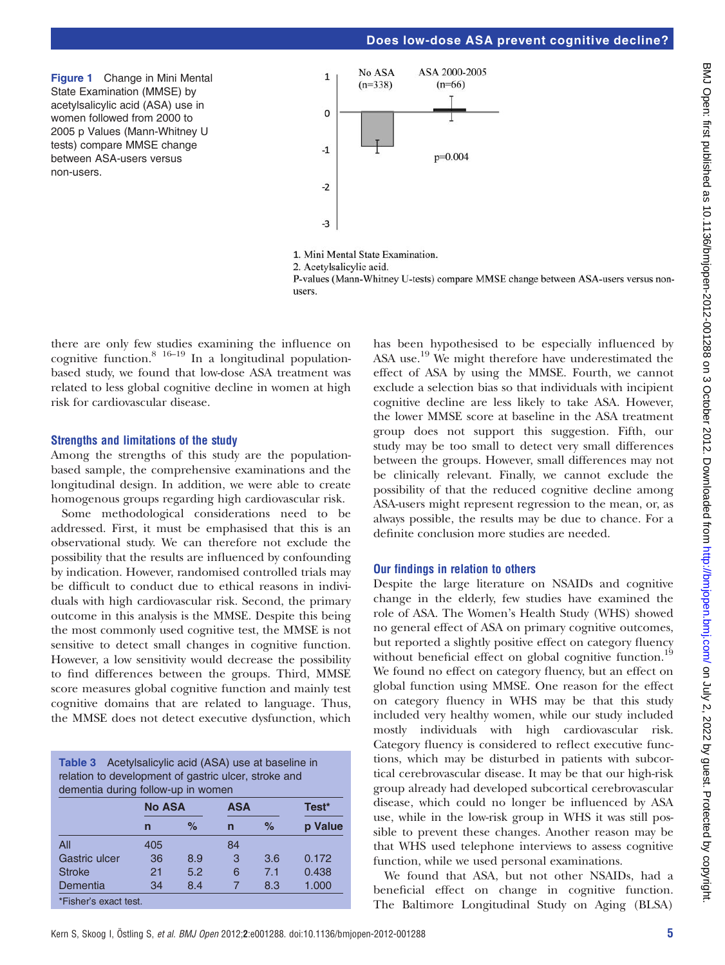Figure 1 Change in Mini Mental State Examination (MMSE) by acetylsalicylic acid (ASA) use in women followed from 2000 to 2005 p Values (Mann-Whitney U tests) compare MMSE change between ASA-users versus non-users.



1. Mini Mental State Examination.

2. Acetylsalicylic acid.

P-values (Mann-Whitney U-tests) compare MMSE change between ASA-users versus nonusers.

there are only few studies examining the influence on cognitive function.<sup>8</sup>  $16-19$  In a longitudinal populationbased study, we found that low-dose ASA treatment was related to less global cognitive decline in women at high risk for cardiovascular disease.

#### Strengths and limitations of the study

Among the strengths of this study are the populationbased sample, the comprehensive examinations and the longitudinal design. In addition, we were able to create homogenous groups regarding high cardiovascular risk.

Some methodological considerations need to be addressed. First, it must be emphasised that this is an observational study. We can therefore not exclude the possibility that the results are influenced by confounding by indication. However, randomised controlled trials may be difficult to conduct due to ethical reasons in individuals with high cardiovascular risk. Second, the primary outcome in this analysis is the MMSE. Despite this being the most commonly used cognitive test, the MMSE is not sensitive to detect small changes in cognitive function. However, a low sensitivity would decrease the possibility to find differences between the groups. Third, MMSE score measures global cognitive function and mainly test cognitive domains that are related to language. Thus, the MMSE does not detect executive dysfunction, which

| <b>Table 3</b> Acetylsalicylic acid (ASA) use at baseline in<br>relation to development of gastric ulcer, stroke and<br>dementia during follow-up in women |     |               |    |      |         |  |
|------------------------------------------------------------------------------------------------------------------------------------------------------------|-----|---------------|----|------|---------|--|
|                                                                                                                                                            |     | <b>No ASA</b> |    |      | Test*   |  |
|                                                                                                                                                            | n   | ℅             | n  | $\%$ | p Value |  |
| All                                                                                                                                                        | 405 |               | 84 |      |         |  |
| Gastric ulcer                                                                                                                                              | 36  | 8.9           | 3  | 3.6  | 0.172   |  |
| <b>Stroke</b>                                                                                                                                              | 21  | 5.2           | 6  | 7.1  | 0.438   |  |
| Dementia                                                                                                                                                   | 34  | 8.4           |    | 8.3  | 1.000   |  |
| $\star$ $\Gamma$ in the substant contribution of the set                                                                                                   |     |               |    |      |         |  |

\*Fisher's exact test.

has been hypothesised to be especially influenced by ASA use.<sup>19</sup> We might therefore have underestimated the effect of ASA by using the MMSE. Fourth, we cannot exclude a selection bias so that individuals with incipient cognitive decline are less likely to take ASA. However, the lower MMSE score at baseline in the ASA treatment group does not support this suggestion. Fifth, our study may be too small to detect very small differences between the groups. However, small differences may not be clinically relevant. Finally, we cannot exclude the possibility of that the reduced cognitive decline among ASA-users might represent regression to the mean, or, as always possible, the results may be due to chance. For a definite conclusion more studies are needed.

#### Our findings in relation to others

Despite the large literature on NSAIDs and cognitive change in the elderly, few studies have examined the role of ASA. The Women's Health Study (WHS) showed no general effect of ASA on primary cognitive outcomes, but reported a slightly positive effect on category fluency without beneficial effect on global cognitive function.<sup>19</sup> We found no effect on category fluency, but an effect on global function using MMSE. One reason for the effect on category fluency in WHS may be that this study included very healthy women, while our study included mostly individuals with high cardiovascular risk. Category fluency is considered to reflect executive functions, which may be disturbed in patients with subcortical cerebrovascular disease. It may be that our high-risk group already had developed subcortical cerebrovascular disease, which could no longer be influenced by ASA use, while in the low-risk group in WHS it was still possible to prevent these changes. Another reason may be that WHS used telephone interviews to assess cognitive function, while we used personal examinations.

We found that ASA, but not other NSAIDs, had a beneficial effect on change in cognitive function. The Baltimore Longitudinal Study on Aging (BLSA)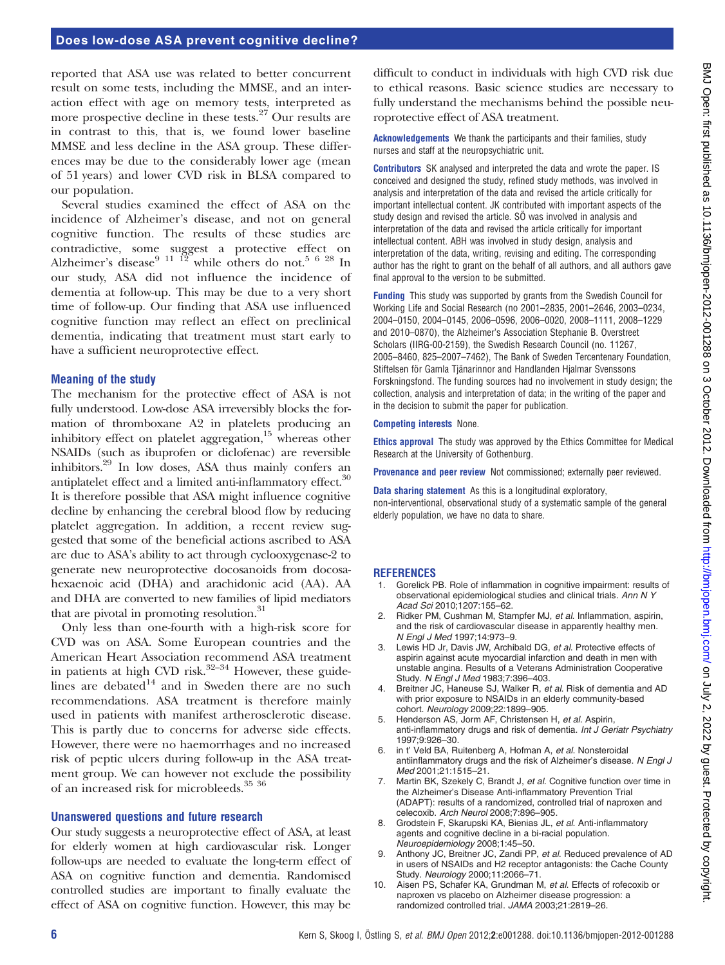reported that ASA use was related to better concurrent result on some tests, including the MMSE, and an interaction effect with age on memory tests, interpreted as more prospective decline in these tests.<sup>27</sup> Our results are in contrast to this, that is, we found lower baseline MMSE and less decline in the ASA group. These differences may be due to the considerably lower age (mean of 51 years) and lower CVD risk in BLSA compared to our population.

Several studies examined the effect of ASA on the incidence of Alzheimer's disease, and not on general cognitive function. The results of these studies are contradictive, some suggest a protective effect on Alzheimer's disease $9^{11}$   $12^7$  while others do not.<sup>5 6 28</sup> In our study, ASA did not influence the incidence of dementia at follow-up. This may be due to a very short time of follow-up. Our finding that ASA use influenced cognitive function may reflect an effect on preclinical dementia, indicating that treatment must start early to have a sufficient neuroprotective effect.

#### Meaning of the study

The mechanism for the protective effect of ASA is not fully understood. Low-dose ASA irreversibly blocks the formation of thromboxane A2 in platelets producing an inhibitory effect on platelet aggregation,<sup>15</sup> whereas other NSAIDs (such as ibuprofen or diclofenac) are reversible inhibitors.29 In low doses, ASA thus mainly confers an antiplatelet effect and a limited anti-inflammatory effect.<sup>30</sup> It is therefore possible that ASA might influence cognitive decline by enhancing the cerebral blood flow by reducing platelet aggregation. In addition, a recent review suggested that some of the beneficial actions ascribed to ASA are due to ASA's ability to act through cyclooxygenase-2 to generate new neuroprotective docosanoids from docosahexaenoic acid (DHA) and arachidonic acid (AA). AA and DHA are converted to new families of lipid mediators that are pivotal in promoting resolution.<sup>31</sup>

Only less than one-fourth with a high-risk score for CVD was on ASA. Some European countries and the American Heart Association recommend ASA treatment in patients at high CVD risk. $32-34$  However, these guidelines are debated $14$  and in Sweden there are no such recommendations. ASA treatment is therefore mainly used in patients with manifest artherosclerotic disease. This is partly due to concerns for adverse side effects. However, there were no haemorrhages and no increased risk of peptic ulcers during follow-up in the ASA treatment group. We can however not exclude the possibility of an increased risk for microbleeds.35 36

#### Unanswered questions and future research

Our study suggests a neuroprotective effect of ASA, at least for elderly women at high cardiovascular risk. Longer follow-ups are needed to evaluate the long-term effect of ASA on cognitive function and dementia. Randomised controlled studies are important to finally evaluate the effect of ASA on cognitive function. However, this may be

difficult to conduct in individuals with high CVD risk due to ethical reasons. Basic science studies are necessary to fully understand the mechanisms behind the possible neuroprotective effect of ASA treatment.

Acknowledgements We thank the participants and their families, study nurses and staff at the neuropsychiatric unit.

Contributors SK analysed and interpreted the data and wrote the paper. IS conceived and designed the study, refined study methods, was involved in analysis and interpretation of the data and revised the article critically for important intellectual content. JK contributed with important aspects of the study design and revised the article. SÖ was involved in analysis and interpretation of the data and revised the article critically for important intellectual content. ABH was involved in study design, analysis and interpretation of the data, writing, revising and editing. The corresponding author has the right to grant on the behalf of all authors, and all authors gave final approval to the version to be submitted.

Funding This study was supported by grants from the Swedish Council for Working Life and Social Research (no 2001–2835, 2001–2646, 2003–0234, 2004–0150, 2004–0145, 2006–0596, 2006–0020, 2008–1111, 2008–1229 and 2010–0870), the Alzheimer's Association Stephanie B. Overstreet Scholars (IIRG-00-2159), the Swedish Research Council (no. 11267, 2005–8460, 825–2007–7462), The Bank of Sweden Tercentenary Foundation, Stiftelsen för Gamla Tjänarinnor and Handlanden Hjalmar Svenssons Forskningsfond. The funding sources had no involvement in study design; the collection, analysis and interpretation of data; in the writing of the paper and in the decision to submit the paper for publication.

#### Competing interests None.

Ethics approval The study was approved by the Ethics Committee for Medical Research at the University of Gothenburg.

Provenance and peer review Not commissioned; externally peer reviewed.

Data sharing statement As this is a longitudinal exploratory, non-interventional, observational study of a systematic sample of the general elderly population, we have no data to share.

#### **REFERENCES**

- 1. Gorelick PB. Role of inflammation in cognitive impairment: results of observational epidemiological studies and clinical trials. Ann N Y Acad Sci 2010;1207:155–62.
- 2. Ridker PM, Cushman M, Stampfer MJ, et al. Inflammation, aspirin, and the risk of cardiovascular disease in apparently healthy men. N Engl J Med 1997;14:973–9.
- 3. Lewis HD Jr, Davis JW, Archibald DG, et al. Protective effects of aspirin against acute myocardial infarction and death in men with unstable angina. Results of a Veterans Administration Cooperative Study. N Engl J Med 1983;7:396–403.
- 4. Breitner JC, Haneuse SJ, Walker R, et al. Risk of dementia and AD with prior exposure to NSAIDs in an elderly community-based cohort. Neurology 2009;22:1899–905.
- 5. Henderson AS, Jorm AF, Christensen H, et al. Aspirin, anti-inflammatory drugs and risk of dementia. Int J Geriatr Psychiatry 1997;9:926–30.
- 6. in t' Veld BA, Ruitenberg A, Hofman A, et al. Nonsteroidal antiinflammatory drugs and the risk of Alzheimer's disease. N Engl J Med 2001;21:1515–21.
- Martin BK, Szekely C, Brandt J, et al. Cognitive function over time in the Alzheimer's Disease Anti-inflammatory Prevention Trial (ADAPT): results of a randomized, controlled trial of naproxen and celecoxib. Arch Neurol 2008;7:896–905.
- Grodstein F, Skarupski KA, Bienias JL, et al. Anti-inflammatory agents and cognitive decline in a bi-racial population. Neuroepidemiology 2008;1:45–50.
- 9. Anthony JC, Breitner JC, Zandi PP, et al. Reduced prevalence of AD in users of NSAIDs and H2 receptor antagonists: the Cache County Study. Neurology 2000;11:2066–71.
- 10. Aisen PS, Schafer KA, Grundman M, et al. Effects of rofecoxib or naproxen vs placebo on Alzheimer disease progression: a randomized controlled trial. JAMA 2003;21:2819–26.